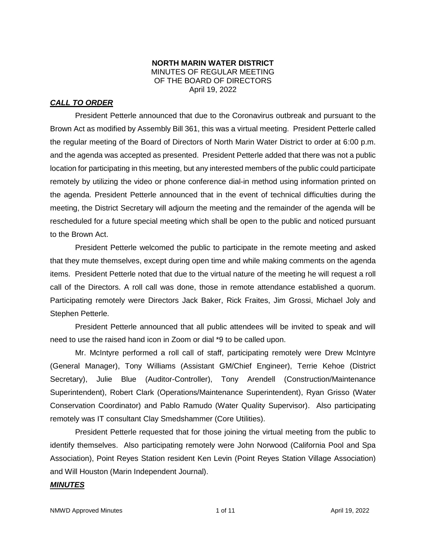### **NORTH MARIN WATER DISTRICT** MINUTES OF REGULAR MEETING OF THE BOARD OF DIRECTORS April 19, 2022

## *CALL TO ORDER*

President Petterle announced that due to the Coronavirus outbreak and pursuant to the Brown Act as modified by Assembly Bill 361, this was a virtual meeting. President Petterle called the regular meeting of the Board of Directors of North Marin Water District to order at 6:00 p.m. and the agenda was accepted as presented. President Petterle added that there was not a public location for participating in this meeting, but any interested members of the public could participate remotely by utilizing the video or phone conference dial-in method using information printed on the agenda. President Petterle announced that in the event of technical difficulties during the meeting, the District Secretary will adjourn the meeting and the remainder of the agenda will be rescheduled for a future special meeting which shall be open to the public and noticed pursuant to the Brown Act.

President Petterle welcomed the public to participate in the remote meeting and asked that they mute themselves, except during open time and while making comments on the agenda items. President Petterle noted that due to the virtual nature of the meeting he will request a roll call of the Directors. A roll call was done, those in remote attendance established a quorum. Participating remotely were Directors Jack Baker, Rick Fraites, Jim Grossi, Michael Joly and Stephen Petterle.

President Petterle announced that all public attendees will be invited to speak and will need to use the raised hand icon in Zoom or dial \*9 to be called upon.

Mr. McIntyre performed a roll call of staff, participating remotely were Drew McIntyre (General Manager), Tony Williams (Assistant GM/Chief Engineer), Terrie Kehoe (District Secretary), Julie Blue (Auditor-Controller), Tony Arendell (Construction/Maintenance Superintendent), Robert Clark (Operations/Maintenance Superintendent), Ryan Grisso (Water Conservation Coordinator) and Pablo Ramudo (Water Quality Supervisor). Also participating remotely was IT consultant Clay Smedshammer (Core Utilities).

President Petterle requested that for those joining the virtual meeting from the public to identify themselves. Also participating remotely were John Norwood (California Pool and Spa Association), Point Reyes Station resident Ken Levin (Point Reyes Station Village Association) and Will Houston (Marin Independent Journal).

## *MINUTES*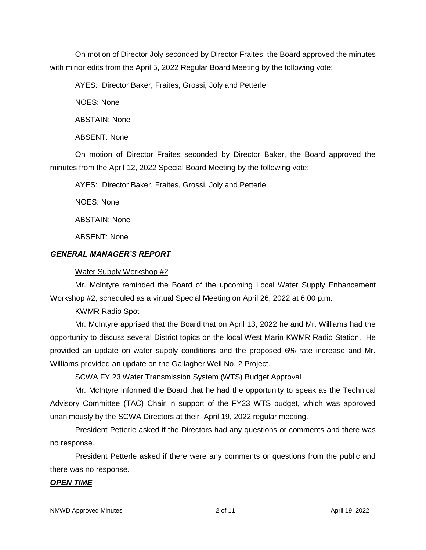On motion of Director Joly seconded by Director Fraites, the Board approved the minutes with minor edits from the April 5, 2022 Regular Board Meeting by the following vote:

AYES: Director Baker, Fraites, Grossi, Joly and Petterle

NOES: None

ABSTAIN: None

ABSENT: None

On motion of Director Fraites seconded by Director Baker, the Board approved the minutes from the April 12, 2022 Special Board Meeting by the following vote:

AYES: Director Baker, Fraites, Grossi, Joly and Petterle

NOES: None

ABSTAIN: None

ABSENT: None

## *GENERAL MANAGER'S REPORT*

### Water Supply Workshop #2

Mr. McIntyre reminded the Board of the upcoming Local Water Supply Enhancement Workshop #2, scheduled as a virtual Special Meeting on April 26, 2022 at 6:00 p.m.

## KWMR Radio Spot

Mr. McIntyre apprised that the Board that on April 13, 2022 he and Mr. Williams had the opportunity to discuss several District topics on the local West Marin KWMR Radio Station. He provided an update on water supply conditions and the proposed 6% rate increase and Mr. Williams provided an update on the Gallagher Well No. 2 Project.

SCWA FY 23 Water Transmission System (WTS) Budget Approval

Mr. McIntyre informed the Board that he had the opportunity to speak as the Technical Advisory Committee (TAC) Chair in support of the FY23 WTS budget, which was approved unanimously by the SCWA Directors at their April 19, 2022 regular meeting.

President Petterle asked if the Directors had any questions or comments and there was no response.

President Petterle asked if there were any comments or questions from the public and there was no response.

#### *OPEN TIME*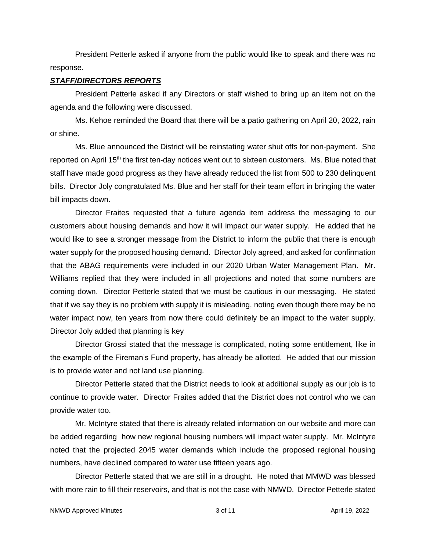President Petterle asked if anyone from the public would like to speak and there was no response.

#### *STAFF/DIRECTORS REPORTS*

President Petterle asked if any Directors or staff wished to bring up an item not on the agenda and the following were discussed.

Ms. Kehoe reminded the Board that there will be a patio gathering on April 20, 2022, rain or shine.

Ms. Blue announced the District will be reinstating water shut offs for non-payment. She reported on April 15<sup>th</sup> the first ten-day notices went out to sixteen customers. Ms. Blue noted that staff have made good progress as they have already reduced the list from 500 to 230 delinquent bills. Director Joly congratulated Ms. Blue and her staff for their team effort in bringing the water bill impacts down.

Director Fraites requested that a future agenda item address the messaging to our customers about housing demands and how it will impact our water supply. He added that he would like to see a stronger message from the District to inform the public that there is enough water supply for the proposed housing demand. Director Joly agreed, and asked for confirmation that the ABAG requirements were included in our 2020 Urban Water Management Plan. Mr. Williams replied that they were included in all projections and noted that some numbers are coming down. Director Petterle stated that we must be cautious in our messaging. He stated that if we say they is no problem with supply it is misleading, noting even though there may be no water impact now, ten years from now there could definitely be an impact to the water supply. Director Joly added that planning is key

Director Grossi stated that the message is complicated, noting some entitlement, like in the example of the Fireman's Fund property, has already be allotted. He added that our mission is to provide water and not land use planning.

Director Petterle stated that the District needs to look at additional supply as our job is to continue to provide water. Director Fraites added that the District does not control who we can provide water too.

Mr. McIntyre stated that there is already related information on our website and more can be added regarding how new regional housing numbers will impact water supply. Mr. McIntyre noted that the projected 2045 water demands which include the proposed regional housing numbers, have declined compared to water use fifteen years ago.

Director Petterle stated that we are still in a drought. He noted that MMWD was blessed with more rain to fill their reservoirs, and that is not the case with NMWD. Director Petterle stated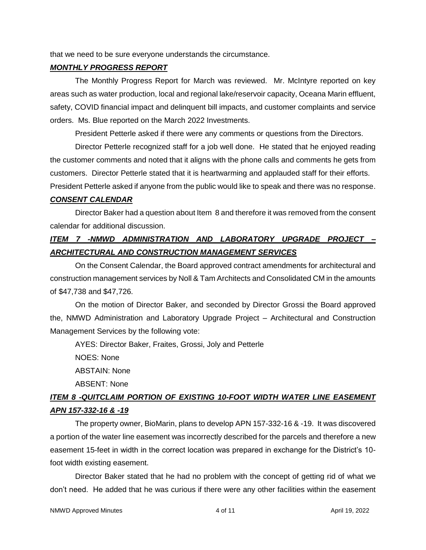that we need to be sure everyone understands the circumstance.

#### *MONTHLY PROGRESS REPORT*

The Monthly Progress Report for March was reviewed. Mr. McIntyre reported on key areas such as water production, local and regional lake/reservoir capacity, Oceana Marin effluent, safety, COVID financial impact and delinquent bill impacts, and customer complaints and service orders. Ms. Blue reported on the March 2022 Investments.

President Petterle asked if there were any comments or questions from the Directors.

Director Petterle recognized staff for a job well done. He stated that he enjoyed reading the customer comments and noted that it aligns with the phone calls and comments he gets from customers. Director Petterle stated that it is heartwarming and applauded staff for their efforts.

President Petterle asked if anyone from the public would like to speak and there was no response.

#### *CONSENT CALENDAR*

Director Baker had a question about Item 8 and therefore it was removed from the consent calendar for additional discussion.

## *ITEM 7 -NMWD ADMINISTRATION AND LABORATORY UPGRADE PROJECT – ARCHITECTURAL AND CONSTRUCTION MANAGEMENT SERVICES*

On the Consent Calendar, the Board approved contract amendments for architectural and construction management services by Noll & Tam Architects and Consolidated CM in the amounts of \$47,738 and \$47,726.

On the motion of Director Baker, and seconded by Director Grossi the Board approved the, NMWD Administration and Laboratory Upgrade Project – Architectural and Construction Management Services by the following vote:

AYES: Director Baker, Fraites, Grossi, Joly and Petterle

NOES: None

ABSTAIN: None

ABSENT: None

## *ITEM 8 -QUITCLAIM PORTION OF EXISTING 10-FOOT WIDTH WATER LINE EASEMENT APN 157-332-16 & -19*

The property owner, BioMarin, plans to develop APN 157-332-16 & -19. It was discovered a portion of the water line easement was incorrectly described for the parcels and therefore a new easement 15-feet in width in the correct location was prepared in exchange for the District's 10 foot width existing easement.

Director Baker stated that he had no problem with the concept of getting rid of what we don't need. He added that he was curious if there were any other facilities within the easement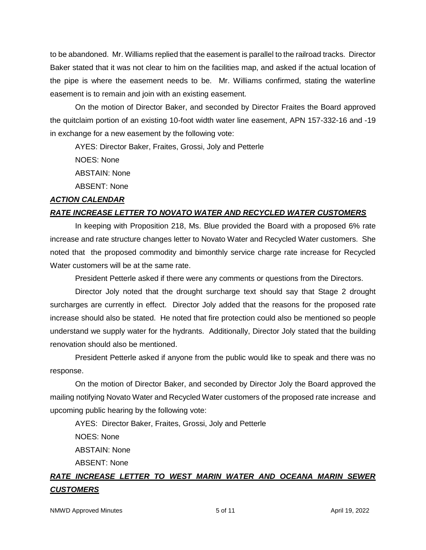to be abandoned. Mr. Williams replied that the easement is parallel to the railroad tracks. Director Baker stated that it was not clear to him on the facilities map, and asked if the actual location of the pipe is where the easement needs to be. Mr. Williams confirmed, stating the waterline easement is to remain and join with an existing easement.

On the motion of Director Baker, and seconded by Director Fraites the Board approved the quitclaim portion of an existing 10-foot width water line easement, APN 157-332-16 and -19 in exchange for a new easement by the following vote:

AYES: Director Baker, Fraites, Grossi, Joly and Petterle

NOES: None

ABSTAIN: None

ABSENT: None

#### *ACTION CALENDAR*

## *RATE INCREASE LETTER TO NOVATO WATER AND RECYCLED WATER CUSTOMERS*

In keeping with Proposition 218, Ms. Blue provided the Board with a proposed 6% rate increase and rate structure changes letter to Novato Water and Recycled Water customers. She noted that the proposed commodity and bimonthly service charge rate increase for Recycled Water customers will be at the same rate.

President Petterle asked if there were any comments or questions from the Directors.

Director Joly noted that the drought surcharge text should say that Stage 2 drought surcharges are currently in effect. Director Joly added that the reasons for the proposed rate increase should also be stated. He noted that fire protection could also be mentioned so people understand we supply water for the hydrants. Additionally, Director Joly stated that the building renovation should also be mentioned.

President Petterle asked if anyone from the public would like to speak and there was no response.

On the motion of Director Baker, and seconded by Director Joly the Board approved the mailing notifying Novato Water and Recycled Water customers of the proposed rate increase and upcoming public hearing by the following vote:

AYES: Director Baker, Fraites, Grossi, Joly and Petterle

NOES: None

ABSTAIN: None

ABSENT: None

## *RATE INCREASE LETTER TO WEST MARIN WATER AND OCEANA MARIN SEWER CUSTOMERS*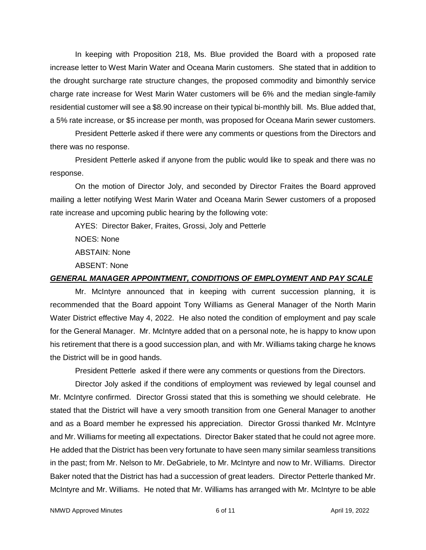In keeping with Proposition 218, Ms. Blue provided the Board with a proposed rate increase letter to West Marin Water and Oceana Marin customers. She stated that in addition to the drought surcharge rate structure changes, the proposed commodity and bimonthly service charge rate increase for West Marin Water customers will be 6% and the median single-family residential customer will see a \$8.90 increase on their typical bi-monthly bill. Ms. Blue added that, a 5% rate increase, or \$5 increase per month, was proposed for Oceana Marin sewer customers.

President Petterle asked if there were any comments or questions from the Directors and there was no response.

President Petterle asked if anyone from the public would like to speak and there was no response.

On the motion of Director Joly, and seconded by Director Fraites the Board approved mailing a letter notifying West Marin Water and Oceana Marin Sewer customers of a proposed rate increase and upcoming public hearing by the following vote:

AYES: Director Baker, Fraites, Grossi, Joly and Petterle NOES: None ABSTAIN: None ABSENT: None

## *GENERAL MANAGER APPOINTMENT, CONDITIONS OF EMPLOYMENT AND PAY SCALE*

Mr. McIntyre announced that in keeping with current succession planning, it is recommended that the Board appoint Tony Williams as General Manager of the North Marin Water District effective May 4, 2022. He also noted the condition of employment and pay scale for the General Manager. Mr. McIntyre added that on a personal note, he is happy to know upon his retirement that there is a good succession plan, and with Mr. Williams taking charge he knows the District will be in good hands.

President Petterle asked if there were any comments or questions from the Directors.

Director Joly asked if the conditions of employment was reviewed by legal counsel and Mr. McIntyre confirmed. Director Grossi stated that this is something we should celebrate. He stated that the District will have a very smooth transition from one General Manager to another and as a Board member he expressed his appreciation. Director Grossi thanked Mr. McIntyre and Mr. Williams for meeting all expectations. Director Baker stated that he could not agree more. He added that the District has been very fortunate to have seen many similar seamless transitions in the past; from Mr. Nelson to Mr. DeGabriele, to Mr. McIntyre and now to Mr. Williams. Director Baker noted that the District has had a succession of great leaders. Director Petterle thanked Mr. McIntyre and Mr. Williams. He noted that Mr. Williams has arranged with Mr. McIntyre to be able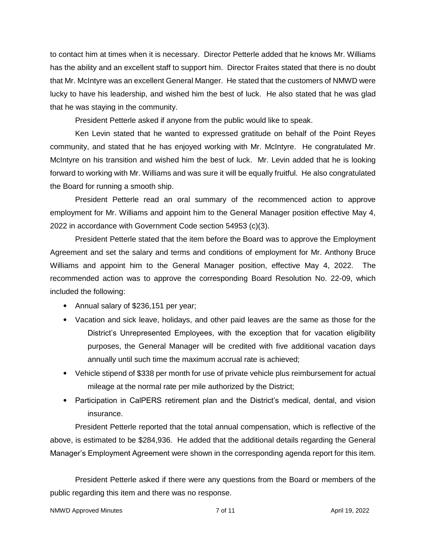to contact him at times when it is necessary. Director Petterle added that he knows Mr. Williams has the ability and an excellent staff to support him. Director Fraites stated that there is no doubt that Mr. McIntyre was an excellent General Manger. He stated that the customers of NMWD were lucky to have his leadership, and wished him the best of luck. He also stated that he was glad that he was staying in the community.

President Petterle asked if anyone from the public would like to speak.

Ken Levin stated that he wanted to expressed gratitude on behalf of the Point Reyes community, and stated that he has enjoyed working with Mr. McIntyre. He congratulated Mr. McIntyre on his transition and wished him the best of luck. Mr. Levin added that he is looking forward to working with Mr. Williams and was sure it will be equally fruitful. He also congratulated the Board for running a smooth ship.

President Petterle read an oral summary of the recommenced action to approve employment for Mr. Williams and appoint him to the General Manager position effective May 4, 2022 in accordance with Government Code section 54953 (c)(3).

President Petterle stated that the item before the Board was to approve the Employment Agreement and set the salary and terms and conditions of employment for Mr. Anthony Bruce Williams and appoint him to the General Manager position, effective May 4, 2022. The recommended action was to approve the corresponding Board Resolution No. 22-09, which included the following:

- Annual salary of \$236,151 per year;
- Vacation and sick leave, holidays, and other paid leaves are the same as those for the District's Unrepresented Employees, with the exception that for vacation eligibility purposes, the General Manager will be credited with five additional vacation days annually until such time the maximum accrual rate is achieved;
- Vehicle stipend of \$338 per month for use of private vehicle plus reimbursement for actual mileage at the normal rate per mile authorized by the District;
- Participation in CalPERS retirement plan and the District's medical, dental, and vision insurance.

President Petterle reported that the total annual compensation, which is reflective of the above, is estimated to be \$284,936. He added that the additional details regarding the General Manager's Employment Agreement were shown in the corresponding agenda report for this item.

President Petterle asked if there were any questions from the Board or members of the public regarding this item and there was no response.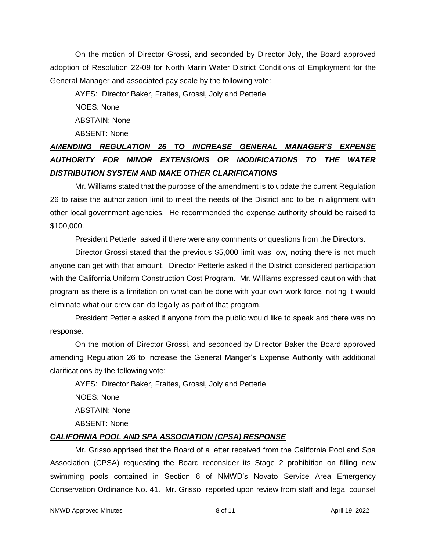On the motion of Director Grossi, and seconded by Director Joly, the Board approved adoption of Resolution 22-09 for North Marin Water District Conditions of Employment for the General Manager and associated pay scale by the following vote:

AYES: Director Baker, Fraites, Grossi, Joly and Petterle

NOES: None

ABSTAIN: None

ABSENT: None

# *AMENDING REGULATION 26 TO INCREASE GENERAL MANAGER'S EXPENSE AUTHORITY FOR MINOR EXTENSIONS OR MODIFICATIONS TO THE WATER DISTRIBUTION SYSTEM AND MAKE OTHER CLARIFICATIONS*

Mr. Williams stated that the purpose of the amendment is to update the current Regulation 26 to raise the authorization limit to meet the needs of the District and to be in alignment with other local government agencies. He recommended the expense authority should be raised to \$100,000.

President Petterle asked if there were any comments or questions from the Directors.

Director Grossi stated that the previous \$5,000 limit was low, noting there is not much anyone can get with that amount. Director Petterle asked if the District considered participation with the California Uniform Construction Cost Program. Mr. Williams expressed caution with that program as there is a limitation on what can be done with your own work force, noting it would eliminate what our crew can do legally as part of that program.

President Petterle asked if anyone from the public would like to speak and there was no response.

On the motion of Director Grossi, and seconded by Director Baker the Board approved amending Regulation 26 to increase the General Manger's Expense Authority with additional clarifications by the following vote:

AYES: Director Baker, Fraites, Grossi, Joly and Petterle

NOES: None

ABSTAIN: None

ABSENT: None

## *CALIFORNIA POOL AND SPA ASSOCIATION (CPSA) RESPONSE*

Mr. Grisso apprised that the Board of a letter received from the California Pool and Spa Association (CPSA) requesting the Board reconsider its Stage 2 prohibition on filling new swimming pools contained in Section 6 of NMWD's Novato Service Area Emergency Conservation Ordinance No. 41. Mr. Grisso reported upon review from staff and legal counsel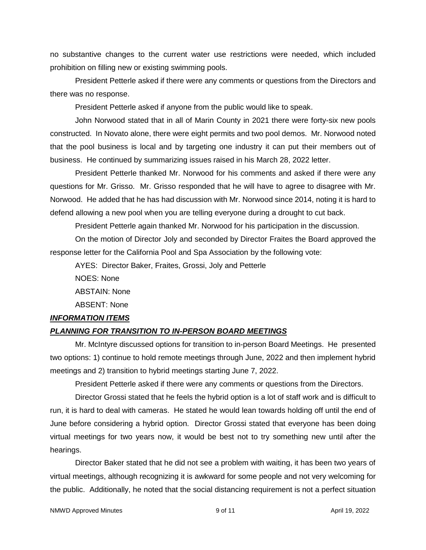no substantive changes to the current water use restrictions were needed, which included prohibition on filling new or existing swimming pools.

President Petterle asked if there were any comments or questions from the Directors and there was no response.

President Petterle asked if anyone from the public would like to speak.

John Norwood stated that in all of Marin County in 2021 there were forty-six new pools constructed. In Novato alone, there were eight permits and two pool demos. Mr. Norwood noted that the pool business is local and by targeting one industry it can put their members out of business. He continued by summarizing issues raised in his March 28, 2022 letter.

President Petterle thanked Mr. Norwood for his comments and asked if there were any questions for Mr. Grisso. Mr. Grisso responded that he will have to agree to disagree with Mr. Norwood. He added that he has had discussion with Mr. Norwood since 2014, noting it is hard to defend allowing a new pool when you are telling everyone during a drought to cut back.

President Petterle again thanked Mr. Norwood for his participation in the discussion.

On the motion of Director Joly and seconded by Director Fraites the Board approved the response letter for the California Pool and Spa Association by the following vote:

AYES: Director Baker, Fraites, Grossi, Joly and Petterle

NOES: None ABSTAIN: None ABSENT: None

## *INFORMATION ITEMS*

## *PLANNING FOR TRANSITION TO IN-PERSON BOARD MEETINGS*

Mr. McIntyre discussed options for transition to in-person Board Meetings. He presented two options: 1) continue to hold remote meetings through June, 2022 and then implement hybrid meetings and 2) transition to hybrid meetings starting June 7, 2022.

President Petterle asked if there were any comments or questions from the Directors.

Director Grossi stated that he feels the hybrid option is a lot of staff work and is difficult to run, it is hard to deal with cameras. He stated he would lean towards holding off until the end of June before considering a hybrid option. Director Grossi stated that everyone has been doing virtual meetings for two years now, it would be best not to try something new until after the hearings.

Director Baker stated that he did not see a problem with waiting, it has been two years of virtual meetings, although recognizing it is awkward for some people and not very welcoming for the public. Additionally, he noted that the social distancing requirement is not a perfect situation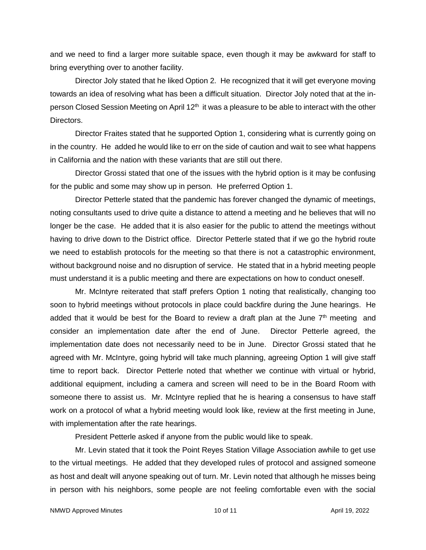and we need to find a larger more suitable space, even though it may be awkward for staff to bring everything over to another facility.

Director Joly stated that he liked Option 2. He recognized that it will get everyone moving towards an idea of resolving what has been a difficult situation. Director Joly noted that at the inperson Closed Session Meeting on April 12<sup>th</sup> it was a pleasure to be able to interact with the other Directors.

Director Fraites stated that he supported Option 1, considering what is currently going on in the country. He added he would like to err on the side of caution and wait to see what happens in California and the nation with these variants that are still out there.

Director Grossi stated that one of the issues with the hybrid option is it may be confusing for the public and some may show up in person. He preferred Option 1.

Director Petterle stated that the pandemic has forever changed the dynamic of meetings, noting consultants used to drive quite a distance to attend a meeting and he believes that will no longer be the case. He added that it is also easier for the public to attend the meetings without having to drive down to the District office. Director Petterle stated that if we go the hybrid route we need to establish protocols for the meeting so that there is not a catastrophic environment, without background noise and no disruption of service. He stated that in a hybrid meeting people must understand it is a public meeting and there are expectations on how to conduct oneself.

Mr. McIntyre reiterated that staff prefers Option 1 noting that realistically, changing too soon to hybrid meetings without protocols in place could backfire during the June hearings. He added that it would be best for the Board to review a draft plan at the June  $7<sup>th</sup>$  meeting and consider an implementation date after the end of June. Director Petterle agreed, the implementation date does not necessarily need to be in June. Director Grossi stated that he agreed with Mr. McIntyre, going hybrid will take much planning, agreeing Option 1 will give staff time to report back. Director Petterle noted that whether we continue with virtual or hybrid, additional equipment, including a camera and screen will need to be in the Board Room with someone there to assist us. Mr. McIntyre replied that he is hearing a consensus to have staff work on a protocol of what a hybrid meeting would look like, review at the first meeting in June, with implementation after the rate hearings.

President Petterle asked if anyone from the public would like to speak.

Mr. Levin stated that it took the Point Reyes Station Village Association awhile to get use to the virtual meetings. He added that they developed rules of protocol and assigned someone as host and dealt will anyone speaking out of turn. Mr. Levin noted that although he misses being in person with his neighbors, some people are not feeling comfortable even with the social